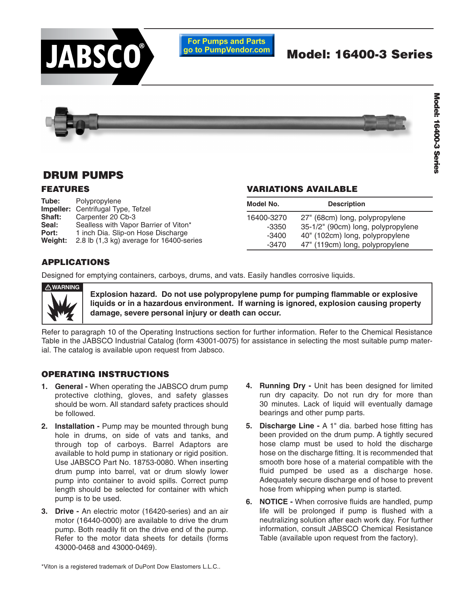

# **DRUM PUMPS**

### **FEATURES**

| Tube:         | Polypropylene                             | Mc |
|---------------|-------------------------------------------|----|
|               | <b>Impeller:</b> Centrifugal Type, Tefzel |    |
| <b>Shaft:</b> | Carpenter 20 Cb-3                         | 16 |
| Seal:         | Sealless with Vapor Barrier of Viton*     |    |
| Port:         | 1 inch Dia. Slip-on Hose Discharge        |    |
| Weight:       | 2.8 lb (1,3 kg) average for 16400-series  |    |

### **VARIATIONS AVAILABLE**

| Model No.  | <b>Description</b>                 |
|------------|------------------------------------|
| 16400-3270 | 27" (68cm) long, polypropylene     |
| $-3350$    | 35-1/2" (90cm) long, polypropylene |
| $-3400$    | 40" (102cm) long, polypropylene    |
| $-3470$    | 47" (119cm) long, polypropylene    |

## **APPLICATIONS**

Designed for emptying containers, carboys, drums, and vats. Easily handles corrosive liquids.

**WARNING**

**Explosion hazard. Do not use polypropylene pump for pumping flammable or explosive liquids or in a hazardous environment. If warning is ignored, explosion causing property damage, severe personal injury or death can occur.**

Refer to paragraph 10 of the Operating Instructions section for further information. Refer to the Chemical Resistance Table in the JABSCO Industrial Catalog (form 43001-0075) for assistance in selecting the most suitable pump material. The catalog is available upon request from Jabsco.

## **OPERATING INSTRUCTIONS**

- **1. General** When operating the JABSCO drum pump protective clothing, gloves, and safety glasses should be worn. All standard safety practices should be followed.
- **2. Installation** Pump may be mounted through bung hole in drums, on side of vats and tanks, and through top of carboys. Barrel Adaptors are available to hold pump in stationary or rigid position. Use JABSCO Part No. 18753-0080. When inserting drum pump into barrel, vat or drum slowly lower pump into container to avoid spills. Correct pump length should be selected for container with which pump is to be used.
- **3. Drive** An electric motor (16420-series) and an air motor (16440-0000) are available to drive the drum pump. Both readily fit on the drive end of the pump. Refer to the motor data sheets for details (forms 43000-0468 and 43000-0469).
- **4. Running Dry** Unit has been designed for limited run dry capacity. Do not run dry for more than 30 minutes. Lack of liquid will eventually damage bearings and other pump parts.
- **5. Discharge Line** A 1" dia. barbed hose fitting has been provided on the drum pump. A tightly secured hose clamp must be used to hold the discharge hose on the discharge fitting. It is recommended that smooth bore hose of a material compatible with the fluid pumped be used as a discharge hose. Adequately secure discharge end of hose to prevent hose from whipping when pump is started.
- **6. NOTICE** When corrosive fluids are handled, pump life will be prolonged if pump is flushed with a neutralizing solution after each work day. For further information, consult JABSCO Chemical Resistance Table (available upon request from the factory).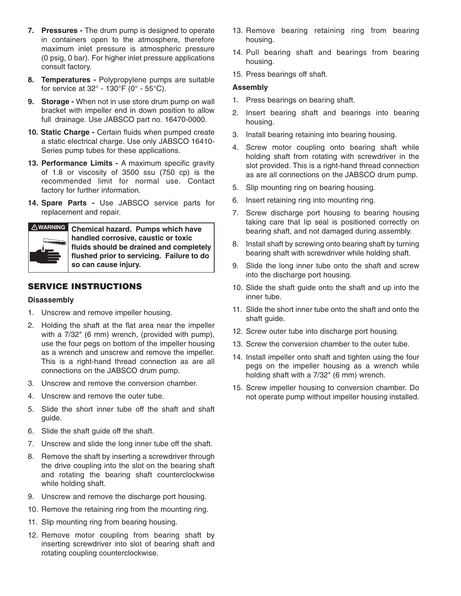- **7. Pressures** The drum pump is designed to operate in containers open to the atmosphere, therefore maximum inlet pressure is atmospheric pressure (0 psig, 0 bar). For higher inlet pressure applications consult factory.
- **8. Temperatures** Polypropylene pumps are suitable for service at 32° - 130°F (0° - 55°C).
- **9. Storage** When not in use store drum pump on wall bracket with impeller end in down position to allow full drainage. Use JABSCO part no. 16470-0000.
- **10. Static Charge** Certain fluids when pumped create a static electrical charge. Use only JABSCO 16410- Series pump tubes for these applications.
- **13. Performance Limits** A maximum specific gravity of 1.8 or viscosity of 3500 ssu (750 cp) is the recommended limit for normal use. Contact factory for further information.
- **14. Spare Parts** Use JABSCO service parts for replacement and repair.



**Chemical hazard. Pumps which have handled corrosive, caustic or toxic fluids should be drained and completely flushed prior to servicing. Failure to do so can cause injury.**

## **SERVICE INSTRUCTIONS**

#### **Disassembly**

- 1. Unscrew and remove impeller housing.
- 2. Holding the shaft at the flat area near the impeller with a 7/32" (6 mm) wrench, (provided with pump), use the four pegs on bottom of the impeller housing as a wrench and unscrew and remove the impeller. This is a right-hand thread connection as are all connections on the JABSCO drum pump.
- 3. Unscrew and remove the conversion chamber.
- 4. Unscrew and remove the outer tube.
- 5. Slide the short inner tube off the shaft and shaft guide.
- 6. Slide the shaft guide off the shaft.
- 7. Unscrew and slide the long inner tube off the shaft.
- 8. Remove the shaft by inserting a screwdriver through the drive coupling into the slot on the bearing shaft and rotating the bearing shaft counterclockwise while holding shaft.
- 9. Unscrew and remove the discharge port housing.
- 10. Remove the retaining ring from the mounting ring.
- 11. Slip mounting ring from bearing housing.
- 12. Remove motor coupling from bearing shaft by inserting screwdriver into slot of bearing shaft and rotating coupling counterclockwise.
- 13. Remove bearing retaining ring from bearing housing.
- 14. Pull bearing shaft and bearings from bearing housing.
- 15. Press bearings off shaft.

#### **Assembly**

- 1. Press bearings on bearing shaft.
- 2. Insert bearing shaft and bearings into bearing housing.
- 3. Install bearing retaining into bearing housing.
- 4. Screw motor coupling onto bearing shaft while holding shaft from rotating with screwdriver in the slot provided. This is a right-hand thread connection as are all connections on the JABSCO drum pump.
- 5. Slip mounting ring on bearing housing.
- 6. Insert retaining ring into mounting ring.
- 7. Screw discharge port housing to bearing housing taking care that lip seal is positioned correctly on bearing shaft, and not damaged during assembly.
- 8. Install shaft by screwing onto bearing shaft by turning bearing shaft with screwdriver while holding shaft.
- 9. Slide the long inner tube onto the shaft and screw into the discharge port housing.
- 10. Slide the shaft guide onto the shaft and up into the inner tube.
- 11. Slide the short inner tube onto the shaft and onto the shaft guide.
- 12. Screw outer tube into discharge port housing.
- 13. Screw the conversion chamber to the outer tube.
- 14. Install impeller onto shaft and tighten using the four pegs on the impeller housing as a wrench while holding shaft with a 7/32" (6 mm) wrench.
- 15. Screw impeller housing to conversion chamber. Do not operate pump without impeller housing installed.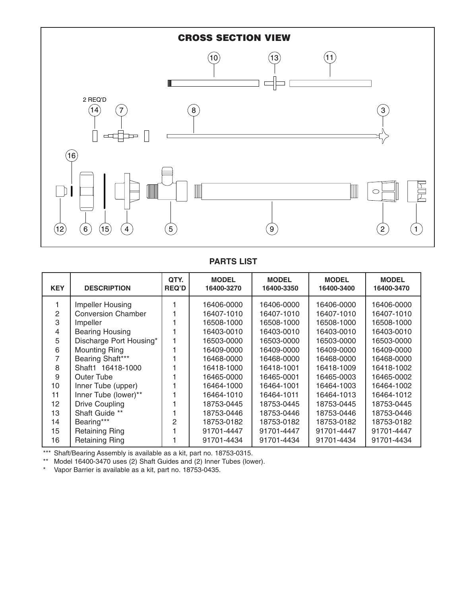

# **PARTS LIST**

| <b>KEY</b> | <b>DESCRIPTION</b>        | QTY.<br><b>REQ'D</b> | <b>MODEL</b><br>16400-3270 | <b>MODEL</b><br>16400-3350 | <b>MODEL</b><br>16400-3400 | <b>MODEL</b><br>16400-3470 |
|------------|---------------------------|----------------------|----------------------------|----------------------------|----------------------------|----------------------------|
|            | Impeller Housing          |                      | 16406-0000                 | 16406-0000                 | 16406-0000                 | 16406-0000                 |
| 2          | <b>Conversion Chamber</b> |                      | 16407-1010                 | 16407-1010                 | 16407-1010                 | 16407-1010                 |
| 3          | Impeller                  |                      | 16508-1000                 | 16508-1000                 | 16508-1000                 | 16508-1000                 |
| 4          | <b>Bearing Housing</b>    |                      | 16403-0010                 | 16403-0010                 | 16403-0010                 | 16403-0010                 |
| 5          | Discharge Port Housing*   |                      | 16503-0000                 | 16503-0000                 | 16503-0000                 | 16503-0000                 |
| 6          | <b>Mounting Ring</b>      |                      | 16409-0000                 | 16409-0000                 | 16409-0000                 | 16409-0000                 |
|            | Bearing Shaft***          |                      | 16468-0000                 | 16468-0000                 | 16468-0000                 | 16468-0000                 |
| 8          | Shaft1 16418-1000         |                      | 16418-1000                 | 16418-1001                 | 16418-1009                 | 16418-1002                 |
| 9          | Outer Tube                |                      | 16465-0000                 | 16465-0001                 | 16465-0003                 | 16465-0002                 |
| 10         | Inner Tube (upper)        |                      | 16464-1000                 | 16464-1001                 | 16464-1003                 | 16464-1002                 |
| 11         | Inner Tube (lower)**      |                      | 16464-1010                 | 16464-1011                 | 16464-1013                 | 16464-1012                 |
| 12         | <b>Drive Coupling</b>     |                      | 18753-0445                 | 18753-0445                 | 18753-0445                 | 18753-0445                 |
| 13         | Shaft Guide **            |                      | 18753-0446                 | 18753-0446                 | 18753-0446                 | 18753-0446                 |
| 14         | Bearing***                | $\mathcal{P}$        | 18753-0182                 | 18753-0182                 | 18753-0182                 | 18753-0182                 |
| 15         | <b>Retaining Ring</b>     |                      | 91701-4447                 | 91701-4447                 | 91701-4447                 | 91701-4447                 |
| 16         | <b>Retaining Ring</b>     |                      | 91701-4434                 | 91701-4434                 | 91701-4434                 | 91701-4434                 |

\*\*\* Shaft/Bearing Assembly is available as a kit, part no. 18753-0315.

\*\* Model 16400-3470 uses (2) Shaft Guides and (2) Inner Tubes (lower).

\* Vapor Barrier is available as a kit, part no. 18753-0435.